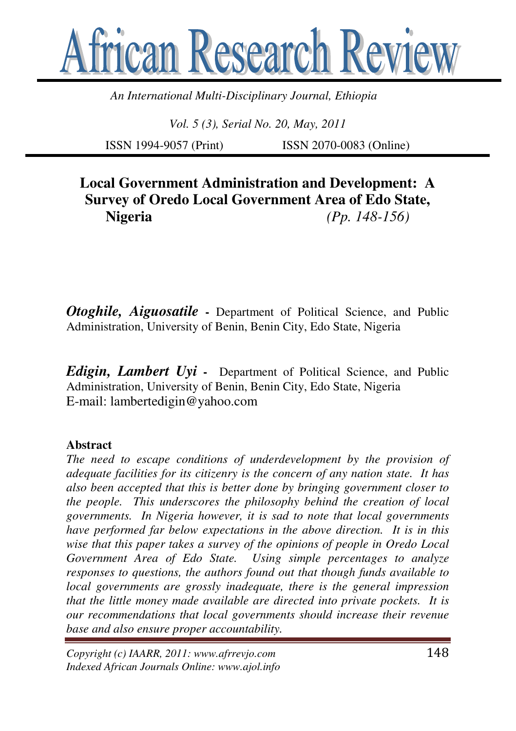

*An International Multi-Disciplinary Journal, Ethiopia* 

*Vol. 5 (3), Serial No. 20, May, 2011*  ISSN 1994-9057 (Print) ISSN 2070-0083 (Online)

# **Local Government Administration and Development: A Survey of Oredo Local Government Area of Edo State, Nigeria** *(Pp. 148-156)*

*Otoghile, Aiguosatile* - Department of Political Science, and Public Administration, University of Benin, Benin City, Edo State, Nigeria

*Edigin, Lambert Uyi* - Department of Political Science, and Public Administration, University of Benin, Benin City, Edo State, Nigeria E-mail: lambertedigin@yahoo.com

#### **Abstract**

*The need to escape conditions of underdevelopment by the provision of adequate facilities for its citizenry is the concern of any nation state. It has also been accepted that this is better done by bringing government closer to the people. This underscores the philosophy behind the creation of local governments. In Nigeria however, it is sad to note that local governments have performed far below expectations in the above direction. It is in this wise that this paper takes a survey of the opinions of people in Oredo Local Government Area of Edo State. Using simple percentages to analyze responses to questions, the authors found out that though funds available to local governments are grossly inadequate, there is the general impression that the little money made available are directed into private pockets. It is our recommendations that local governments should increase their revenue base and also ensure proper accountability.*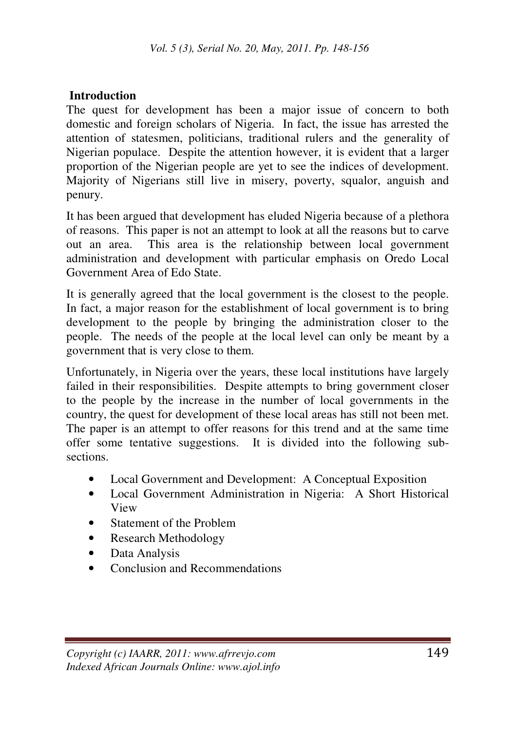# **Introduction**

The quest for development has been a major issue of concern to both domestic and foreign scholars of Nigeria. In fact, the issue has arrested the attention of statesmen, politicians, traditional rulers and the generality of Nigerian populace. Despite the attention however, it is evident that a larger proportion of the Nigerian people are yet to see the indices of development. Majority of Nigerians still live in misery, poverty, squalor, anguish and penury.

It has been argued that development has eluded Nigeria because of a plethora of reasons. This paper is not an attempt to look at all the reasons but to carve out an area. This area is the relationship between local government administration and development with particular emphasis on Oredo Local Government Area of Edo State.

It is generally agreed that the local government is the closest to the people. In fact, a major reason for the establishment of local government is to bring development to the people by bringing the administration closer to the people. The needs of the people at the local level can only be meant by a government that is very close to them.

Unfortunately, in Nigeria over the years, these local institutions have largely failed in their responsibilities. Despite attempts to bring government closer to the people by the increase in the number of local governments in the country, the quest for development of these local areas has still not been met. The paper is an attempt to offer reasons for this trend and at the same time offer some tentative suggestions. It is divided into the following subsections.

- Local Government and Development: A Conceptual Exposition
- Local Government Administration in Nigeria: A Short Historical View
- Statement of the Problem
- Research Methodology
- Data Analysis
- Conclusion and Recommendations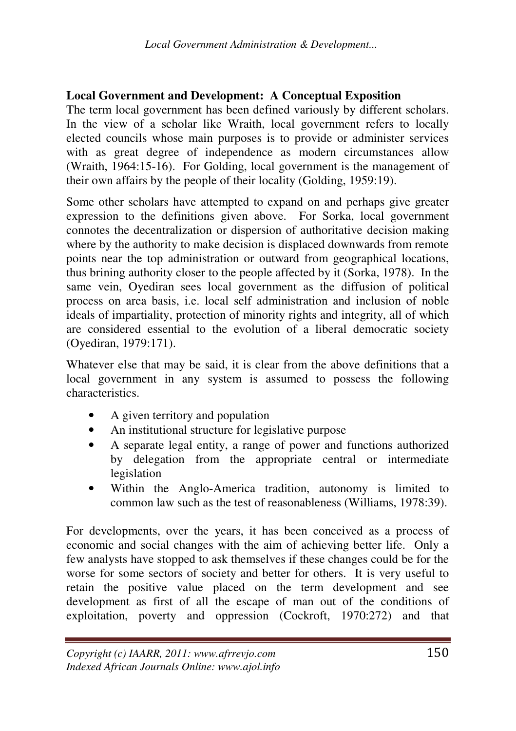# **Local Government and Development: A Conceptual Exposition**

The term local government has been defined variously by different scholars. In the view of a scholar like Wraith, local government refers to locally elected councils whose main purposes is to provide or administer services with as great degree of independence as modern circumstances allow (Wraith, 1964:15-16). For Golding, local government is the management of their own affairs by the people of their locality (Golding, 1959:19).

Some other scholars have attempted to expand on and perhaps give greater expression to the definitions given above. For Sorka, local government connotes the decentralization or dispersion of authoritative decision making where by the authority to make decision is displaced downwards from remote points near the top administration or outward from geographical locations, thus brining authority closer to the people affected by it (Sorka, 1978). In the same vein, Oyediran sees local government as the diffusion of political process on area basis, i.e. local self administration and inclusion of noble ideals of impartiality, protection of minority rights and integrity, all of which are considered essential to the evolution of a liberal democratic society (Oyediran, 1979:171).

Whatever else that may be said, it is clear from the above definitions that a local government in any system is assumed to possess the following characteristics.

- A given territory and population
- An institutional structure for legislative purpose
- A separate legal entity, a range of power and functions authorized by delegation from the appropriate central or intermediate legislation
- Within the Anglo-America tradition, autonomy is limited to common law such as the test of reasonableness (Williams, 1978:39).

For developments, over the years, it has been conceived as a process of economic and social changes with the aim of achieving better life. Only a few analysts have stopped to ask themselves if these changes could be for the worse for some sectors of society and better for others. It is very useful to retain the positive value placed on the term development and see development as first of all the escape of man out of the conditions of exploitation, poverty and oppression (Cockroft, 1970:272) and that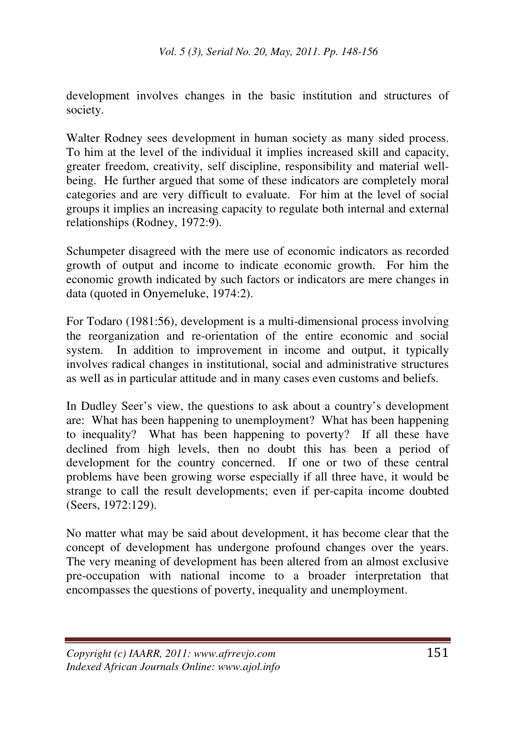development involves changes in the basic institution and structures of society.

Walter Rodney sees development in human society as many sided process. To him at the level of the individual it implies increased skill and capacity, greater freedom, creativity, self discipline, responsibility and material wellbeing. He further argued that some of these indicators are completely moral categories and are very difficult to evaluate. For him at the level of social groups it implies an increasing capacity to regulate both internal and external relationships (Rodney, 1972:9).

Schumpeter disagreed with the mere use of economic indicators as recorded growth of output and income to indicate economic growth. For him the economic growth indicated by such factors or indicators are mere changes in data (quoted in Onyemeluke, 1974:2).

For Todaro (1981:56), development is a multi-dimensional process involving the reorganization and re-orientation of the entire economic and social system. In addition to improvement in income and output, it typically involves radical changes in institutional, social and administrative structures as well as in particular attitude and in many cases even customs and beliefs.

In Dudley Seer's view, the questions to ask about a country's development are: What has been happening to unemployment? What has been happening to inequality? What has been happening to poverty? If all these have declined from high levels, then no doubt this has been a period of development for the country concerned. If one or two of these central problems have been growing worse especially if all three have, it would be strange to call the result developments; even if per-capita income doubted (Seers, 1972:129).

No matter what may be said about development, it has become clear that the concept of development has undergone profound changes over the years. The very meaning of development has been altered from an almost exclusive pre-occupation with national income to a broader interpretation that encompasses the questions of poverty, inequality and unemployment.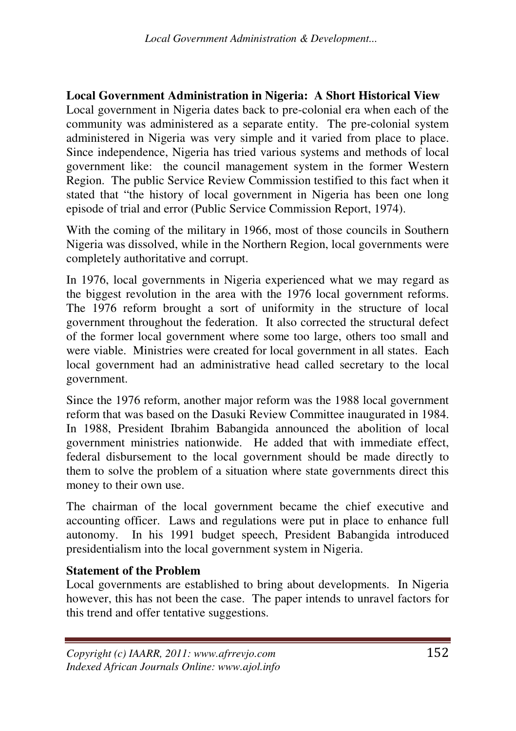# **Local Government Administration in Nigeria: A Short Historical View**

Local government in Nigeria dates back to pre-colonial era when each of the community was administered as a separate entity. The pre-colonial system administered in Nigeria was very simple and it varied from place to place. Since independence, Nigeria has tried various systems and methods of local government like: the council management system in the former Western Region. The public Service Review Commission testified to this fact when it stated that "the history of local government in Nigeria has been one long episode of trial and error (Public Service Commission Report, 1974).

With the coming of the military in 1966, most of those councils in Southern Nigeria was dissolved, while in the Northern Region, local governments were completely authoritative and corrupt.

In 1976, local governments in Nigeria experienced what we may regard as the biggest revolution in the area with the 1976 local government reforms. The 1976 reform brought a sort of uniformity in the structure of local government throughout the federation. It also corrected the structural defect of the former local government where some too large, others too small and were viable. Ministries were created for local government in all states. Each local government had an administrative head called secretary to the local government.

Since the 1976 reform, another major reform was the 1988 local government reform that was based on the Dasuki Review Committee inaugurated in 1984. In 1988, President Ibrahim Babangida announced the abolition of local government ministries nationwide. He added that with immediate effect, federal disbursement to the local government should be made directly to them to solve the problem of a situation where state governments direct this money to their own use.

The chairman of the local government became the chief executive and accounting officer. Laws and regulations were put in place to enhance full autonomy. In his 1991 budget speech, President Babangida introduced presidentialism into the local government system in Nigeria.

# **Statement of the Problem**

Local governments are established to bring about developments. In Nigeria however, this has not been the case. The paper intends to unravel factors for this trend and offer tentative suggestions.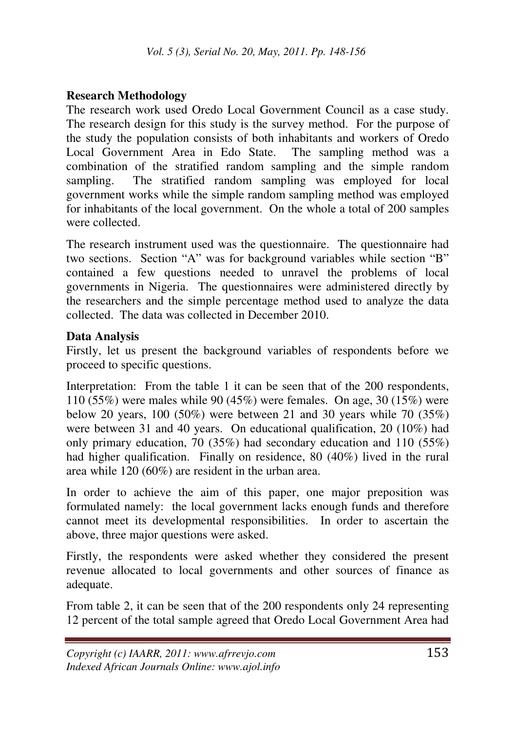## **Research Methodology**

The research work used Oredo Local Government Council as a case study. The research design for this study is the survey method. For the purpose of the study the population consists of both inhabitants and workers of Oredo Local Government Area in Edo State. The sampling method was a combination of the stratified random sampling and the simple random sampling. The stratified random sampling was employed for local government works while the simple random sampling method was employed for inhabitants of the local government. On the whole a total of 200 samples were collected.

The research instrument used was the questionnaire. The questionnaire had two sections. Section "A" was for background variables while section "B" contained a few questions needed to unravel the problems of local governments in Nigeria. The questionnaires were administered directly by the researchers and the simple percentage method used to analyze the data collected. The data was collected in December 2010.

### **Data Analysis**

Firstly, let us present the background variables of respondents before we proceed to specific questions.

Interpretation: From the table 1 it can be seen that of the 200 respondents, 110 (55%) were males while 90 (45%) were females. On age, 30 (15%) were below 20 years, 100 (50%) were between 21 and 30 years while 70 (35%) were between 31 and 40 years. On educational qualification, 20 (10%) had only primary education, 70 (35%) had secondary education and 110 (55%) had higher qualification. Finally on residence, 80 (40%) lived in the rural area while 120 (60%) are resident in the urban area.

In order to achieve the aim of this paper, one major preposition was formulated namely: the local government lacks enough funds and therefore cannot meet its developmental responsibilities. In order to ascertain the above, three major questions were asked.

Firstly, the respondents were asked whether they considered the present revenue allocated to local governments and other sources of finance as adequate.

From table 2, it can be seen that of the 200 respondents only 24 representing 12 percent of the total sample agreed that Oredo Local Government Area had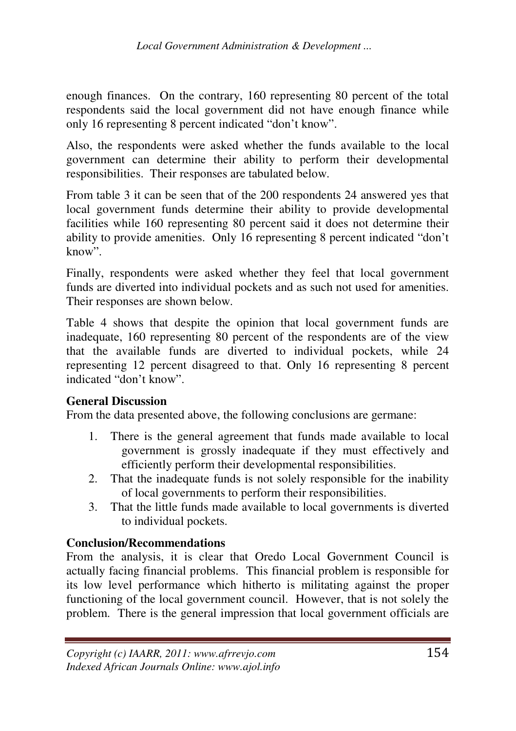enough finances. On the contrary, 160 representing 80 percent of the total respondents said the local government did not have enough finance while only 16 representing 8 percent indicated "don't know".

Also, the respondents were asked whether the funds available to the local government can determine their ability to perform their developmental responsibilities. Their responses are tabulated below.

From table 3 it can be seen that of the 200 respondents 24 answered yes that local government funds determine their ability to provide developmental facilities while 160 representing 80 percent said it does not determine their ability to provide amenities. Only 16 representing 8 percent indicated "don't know".

Finally, respondents were asked whether they feel that local government funds are diverted into individual pockets and as such not used for amenities. Their responses are shown below.

Table 4 shows that despite the opinion that local government funds are inadequate, 160 representing 80 percent of the respondents are of the view that the available funds are diverted to individual pockets, while 24 representing 12 percent disagreed to that. Only 16 representing 8 percent indicated "don't know".

# **General Discussion**

From the data presented above, the following conclusions are germane:

- 1. There is the general agreement that funds made available to local government is grossly inadequate if they must effectively and efficiently perform their developmental responsibilities.
- 2. That the inadequate funds is not solely responsible for the inability of local governments to perform their responsibilities.
- 3. That the little funds made available to local governments is diverted to individual pockets.

# **Conclusion/Recommendations**

From the analysis, it is clear that Oredo Local Government Council is actually facing financial problems. This financial problem is responsible for its low level performance which hitherto is militating against the proper functioning of the local government council. However, that is not solely the problem. There is the general impression that local government officials are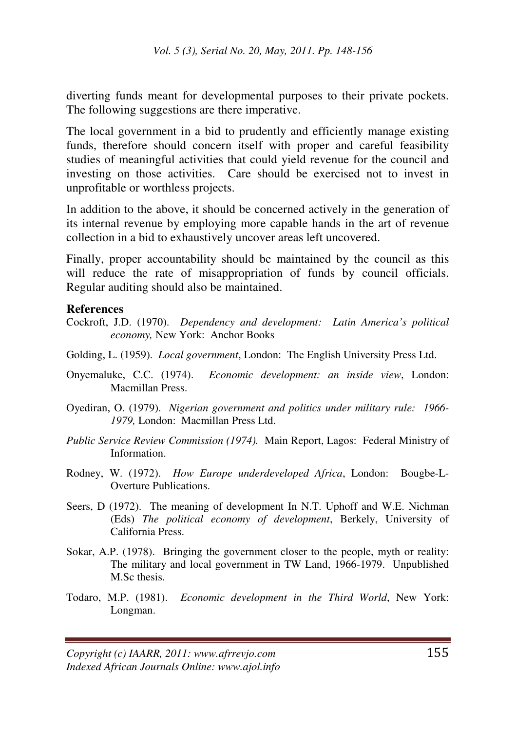diverting funds meant for developmental purposes to their private pockets. The following suggestions are there imperative.

The local government in a bid to prudently and efficiently manage existing funds, therefore should concern itself with proper and careful feasibility studies of meaningful activities that could yield revenue for the council and investing on those activities. Care should be exercised not to invest in unprofitable or worthless projects.

In addition to the above, it should be concerned actively in the generation of its internal revenue by employing more capable hands in the art of revenue collection in a bid to exhaustively uncover areas left uncovered.

Finally, proper accountability should be maintained by the council as this will reduce the rate of misappropriation of funds by council officials. Regular auditing should also be maintained.

#### **References**

- Cockroft, J.D. (1970). *Dependency and development: Latin America's political economy,* New York: Anchor Books
- Golding, L. (1959). *Local government*, London: The English University Press Ltd.
- Onyemaluke, C.C. (1974). *Economic development: an inside view*, London: Macmillan Press.
- Oyediran, O. (1979). *Nigerian government and politics under military rule: 1966- 1979,* London: Macmillan Press Ltd.
- *Public Service Review Commission (1974).* Main Report, Lagos: Federal Ministry of Information.
- Rodney, W. (1972). *How Europe underdeveloped Africa*, London: Bougbe-L-Overture Publications.
- Seers, D (1972). The meaning of development In N.T. Uphoff and W.E. Nichman (Eds) *The political economy of development*, Berkely, University of California Press.
- Sokar, A.P. (1978). Bringing the government closer to the people, myth or reality: The military and local government in TW Land, 1966-1979. Unpublished M.Sc thesis.
- Todaro, M.P. (1981). *Economic development in the Third World*, New York: Longman.

*Copyright (c) IAARR, 2011: www.afrrevjo.com* 155 *Indexed African Journals Online: www.ajol.info*